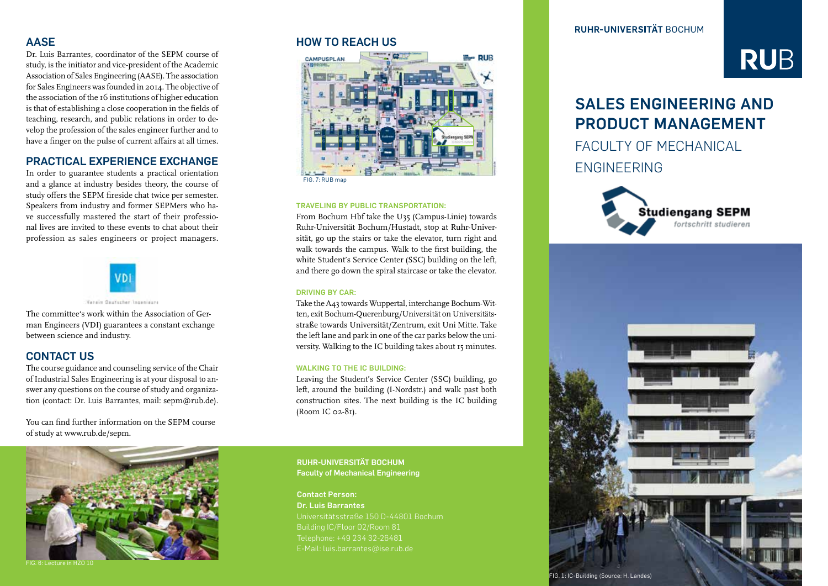### **AASE**

Dr. Luis Barrantes, coordinator of the SEPM course of study, is the initiator and vice-president of the Academic Association of Sales Engineering (AASE). The association for Sales Engineers was founded in 2014. The objective of the association of the 16 institutions of higher education is that of establishing a close cooperation in the fields of teaching, research, and public relations in order to develop the profession of the sales engineer further and to have a finger on the pulse of current affairs at all times.

## **PRACTICAL EXPERIENCE EXCHANGE**

In order to guarantee students a practical orientation and a glance at industry besides theory, the course of study offers the SEPM fireside chat twice per semester. Speakers from industry and former SEPMers who have successfully mastered the start of their professional lives are invited to these events to chat about their profession as sales engineers or project managers.



Vatalo Gauterbar Inneniaura

The committee's work within the Association of German Engineers (VDI) guarantees a constant exchange between science and industry.

# **CONTACT US**

The course guidance and counseling service of the Chair of Industrial Sales Engineering is at your disposal to answer any questions on the course of study and organization (contact: Dr. Luis Barrantes, mail: sepm@rub.de).

You can find further information on the SEPM course of study at www.rub.de/sepm.

### **HOW TO REACH US**



### **TRAVELING BY PUBLIC TRANSPORTATION:**

From Bochum Hbf take the U35 (Campus-Linie) towards Ruhr-Universität Bochum/Hustadt, stop at Ruhr-Universität, go up the stairs or take the elevator, turn right and walk towards the campus. Walk to the first building, the white Student's Service Center (SSC) building on the left, and there go down the spiral staircase or take the elevator.

### **DRIVING BY CAR:**

Take the A43 towards Wuppertal, interchange Bochum-Witten, exit Bochum-Querenburg/Universität on Universitätsstraße towards Universität/Zentrum, exit Uni Mitte. Take the left lane and park in one of the car parks below the university. Walking to the IC building takes about 15 minutes.

### **WALKING TO THE IC BUILDING:**

Leaving the Student's Service Center (SSC) building, go left, around the building (I-Nordstr.) and walk past both construction sites. The next building is the IC building (Room IC 02-81).



FIG. 6: Lecture in HZO 10

### **RUHR-UNIVERSITÄT BOCHUM Faculty of Mechanical Engineering**

### **Contact Person: Dr. Luis Barrantes**

Universitätsstraße 150 D-44801 Bochum E-Mail: luis.barrantes@ise.rub.de

**RUHR-UNIVERSITÄT BOCHUM** 

# **RUB**

# **SALES ENGINEERING AND PRODUCT MANAGEMENT**

FACULTY OF MECHANICAL ENGINEERING